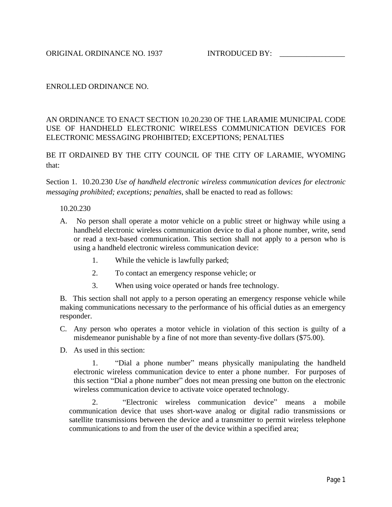## ENROLLED ORDINANCE NO.

## AN ORDINANCE TO ENACT SECTION 10.20.230 OF THE LARAMIE MUNICIPAL CODE USE OF HANDHELD ELECTRONIC WIRELESS COMMUNICATION DEVICES FOR ELECTRONIC MESSAGING PROHIBITED; EXCEPTIONS; PENALTIES

BE IT ORDAINED BY THE CITY COUNCIL OF THE CITY OF LARAMIE, WYOMING that:

Section 1. 10.20.230 *Use of handheld electronic wireless communication devices for electronic messaging prohibited; exceptions; penalties*, shall be enacted to read as follows:

## 10.20.230

- A. No person shall operate a motor vehicle on a public street or highway while using a handheld electronic wireless communication device to dial a phone number, write, send or read a text-based communication. This section shall not apply to a person who is using a handheld electronic wireless communication device:
	- 1. While the vehicle is lawfully parked;
	- 2. To contact an emergency response vehicle; or
	- 3. When using voice operated or hands free technology.

B. This section shall not apply to a person operating an emergency response vehicle while making communications necessary to the performance of his official duties as an emergency responder.

- C. Any person who operates a motor vehicle in violation of this section is guilty of a misdemeanor punishable by a fine of not more than seventy-five dollars (\$75.00).
- D. As used in this section:

1. "Dial a phone number" means physically manipulating the handheld electronic wireless communication device to enter a phone number. For purposes of this section "Dial a phone number" does not mean pressing one button on the electronic wireless communication device to activate voice operated technology.

2. "Electronic wireless communication device" means a mobile communication device that uses short-wave analog or digital radio transmissions or satellite transmissions between the device and a transmitter to permit wireless telephone communications to and from the user of the device within a specified area;